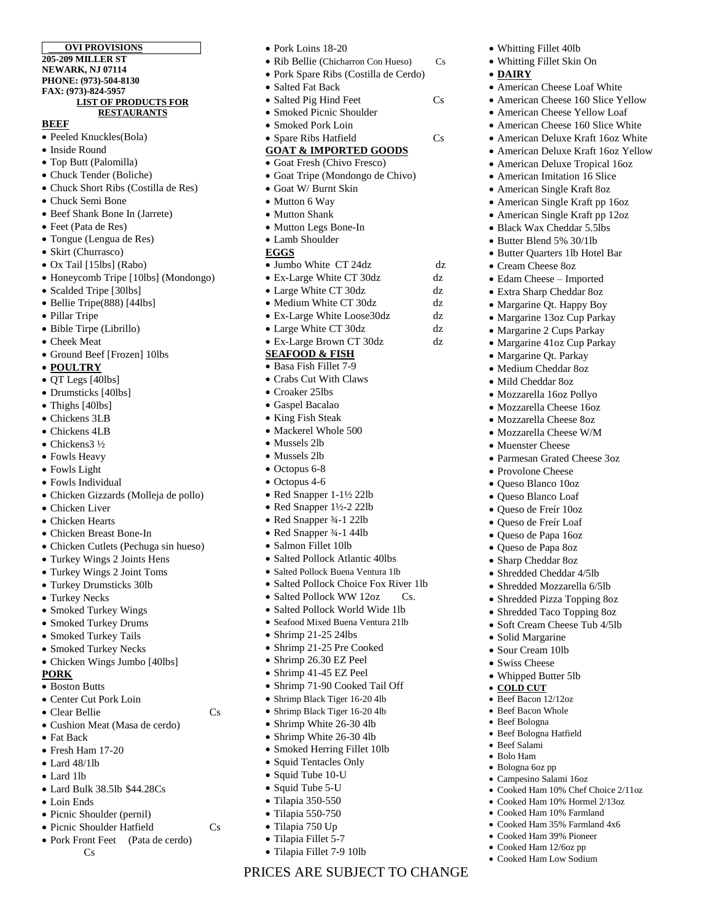#### **OVI PROVISIONS 205-209 MILLER ST NEWARK, NJ 07114 PHONE: (973)-504-8130 FAX: (973)-824-5957 LIST OF PRODUCTS FOR RESTAURANTS**

#### **BEEF**

- Peeled Knuckles(Bola)
- Inside Round
- Top Butt (Palomilla)
- Chuck Tender (Boliche)
- Chuck Short Ribs (Costilla de Res)
- Chuck Semi Bone
- Beef Shank Bone In (Jarrete)
- Feet (Pata de Res)
- Tongue (Lengua de Res)
- Skirt (Churrasco)
- Ox Tail [15lbs] (Rabo)
- Honeycomb Tripe [10lbs] (Mondongo)
- Scalded Tripe [30lbs]
- Bellie Tripe(888) [44lbs]
- Pillar Tripe
- Bible Tirpe (Librillo)
- Cheek Meat
- Ground Beef [Frozen] 10lbs
- **POULTRY**
- QT Legs [40lbs]
- Drumsticks [40lbs]
- Thighs [40lbs]
- Chickens 3LB
- Chickens 4LB
- Chickens3 ½
- Fowls Heavy
- Fowls Light
- Fowls Individual
- Chicken Gizzards (Molleja de pollo)
- Chicken Liver
- Chicken Hearts
- Chicken Breast Bone-In
- Chicken Cutlets (Pechuga sin hueso)
- Turkey Wings 2 Joints Hens
- Turkey Wings 2 Joint Toms
- Turkey Drumsticks 30lb
- Turkey Necks
- Smoked Turkey Wings
- Smoked Turkey Drums
- Smoked Turkey Tails
- Smoked Turkey Necks
- Chicken Wings Jumbo [40lbs]

#### **PORK**

- Boston Butts
- Center Cut Pork Loin
- Clear Bellie Cs
- Cushion Meat (Masa de cerdo)
- Fat Back
- Fresh Ham 17-20
- Lard 48/1lb
- **.** Lard 1lb
- Lard Bulk 38.5lb \$44.28Cs
- Loin Ends
- Picnic Shoulder (pernil)
- Picnic Shoulder Hatfield Cs
- Pork Front Feet (Pata de cerdo) Cs
- Pork Loins 18-20
- Rib Bellie (Chicharron Con Hueso) Cs

• Whitting Fillet 40lb Whitting Fillet Skin On

 Cream Cheese 8oz Edam Cheese – Imported Extra Sharp Cheddar 8oz • Margarine Qt. Happy Boy Margarine 13oz Cup Parkay Margarine 2 Cups Parkay Margarine 41oz Cup Parkay • Margarine Qt. Parkay Medium Cheddar 8oz Mild Cheddar 8oz Mozzarella 16oz Pollyo Mozzarella Cheese 16oz Mozzarella Cheese 8oz Mozzarella Cheese W/M • Muenster Cheese

Parmesan Grated Cheese 3oz

• Provolone Cheese Queso Blanco 10oz Queso Blanco Loaf Queso de Freír 10oz Queso de Freír Loaf Queso de Papa 16oz  $\bullet$  Oueso de Papa 8oz Sharp Cheddar 8oz Shredded Cheddar 4/5lb Shredded Mozzarella 6/5lb Shredded Pizza Topping 8oz • Shredded Taco Topping 8oz • Soft Cream Cheese Tub 4/5lb

 Solid Margarine Sour Cream 10lb Swiss Cheese • Whipped Butter 5lb **COLD CUT** Beef Bacon 12/12oz • Beef Bacon Whole • Beef Bologna Beef Bologna Hatfield Beef Salami Bolo Ham Bologna 6oz pp Campesino Salami 16oz

 Cooked Ham 10% Chef Choice 2/11oz Cooked Ham 10% Hormel 2/13oz Cooked Ham 10% Farmland Cooked Ham 35% Farmland 4x6 Cooked Ham 39% Pioneer • Cooked Ham 12/6oz pp Cooked Ham Low Sodium

 American Cheese Loaf White • American Cheese 160 Slice Yellow American Cheese Yellow Loaf • American Cheese 160 Slice White American Deluxe Kraft 16oz White American Deluxe Kraft 16oz Yellow American Deluxe Tropical 16oz American Imitation 16 Slice American Single Kraft 8oz • American Single Kraft pp 16oz American Single Kraft pp 12oz • Black Wax Cheddar 5.5lbs • Butter Blend 5% 30/1lb • Butter Quarters 1lb Hotel Bar

**DAIRY**

- Pork Spare Ribs (Costilla de Cerdo)
- Salted Fat Back
- Salted Pig Hind Feet Cs
- Smoked Picnic Shoulder
- Smoked Pork Loin
- Spare Ribs Hatfield Cs

# **GOAT & IMPORTED GOODS**

- Goat Fresh (Chivo Fresco)
- Goat Tripe (Mondongo de Chivo) Goat W/ Burnt Skin
- Mutton 6 Way
- Mutton Shank
- Mutton Legs Bone-In
- Lamb Shoulder

## **EGGS**

- Jumbo White CT 24dz dz
- Ex-Large White CT 30dz dz
- Large White CT 30dz dz
- Medium White CT 30dz dz
- Ex-Large White Loose30dz dz
- Large White CT 30dz dz
- Ex-Large Brown CT 30dz dz

## **SEAFOOD & FISH**

- Basa Fish Fillet 7-9
- Crabs Cut With Claws
- Croaker 25lbs
- Gaspel Bacalao
- King Fish Steak
- Mackerel Whole 500
- Mussels 2lb
- Mussels 2lb
- Octopus 6-8
- Octopus 4-6
- Red Snapper 1-1½ 22lb
- Red Snapper 1½-2 22lb
- Red Snapper ¾-1 22lb
- Red Snapper ¾-1 44lb
- Salmon Fillet 10lb

• Shrimp 21-25 24lbs Shrimp 21-25 Pre Cooked Shrimp 26.30 EZ Peel Shrimp 41-45 EZ Peel Shrimp 71-90 Cooked Tail Off • Shrimp Black Tiger 16-20 4lb Shrimp Black Tiger 16-20 4lb • Shrimp White 26-30 4lb • Shrimp White 26-30 4lb • Smoked Herring Fillet 10lb Squid Tentacles Only Squid Tube 10-U • Squid Tube 5-U Tilapia 350-550 Tilapia 550-750 Tilapia 750 Up • Tilapia Fillet 5-7 Tilapia Fillet 7-9 10lb

- Salted Pollock Atlantic 40lbs
- Salted Pollock Buena Ventura 1lb

• Salted Pollock World Wide 1lb Seafood Mixed Buena Ventura 21lb

• Salted Pollock Choice Fox River 1lb • Salted Pollock WW 12oz Cs.

PRICES ARE SUBJECT TO CHANGE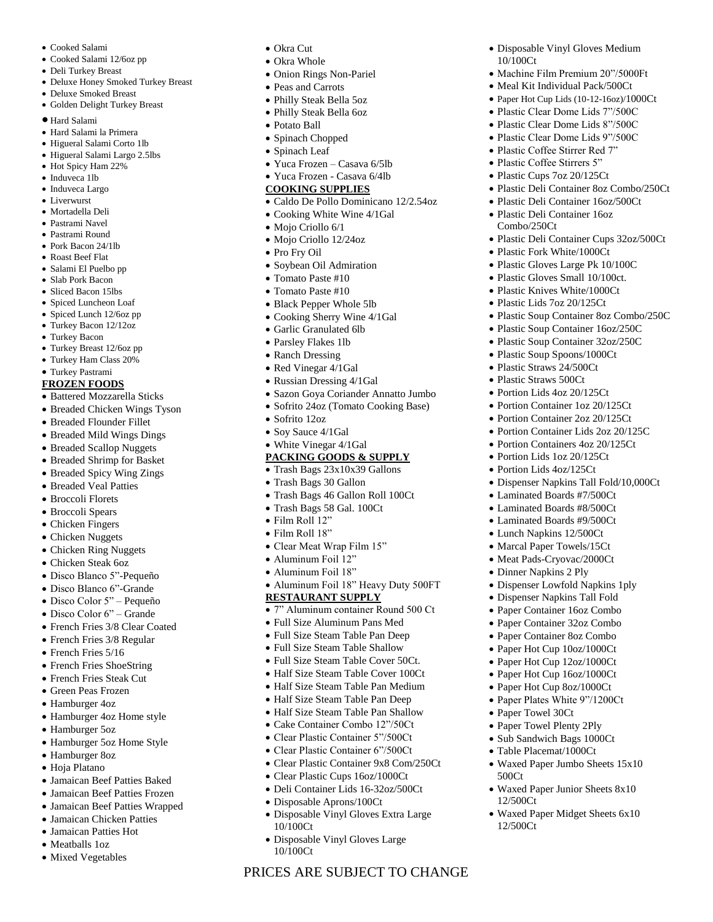- Cooked Salami
- Cooked Salami 12/6oz pp
- Deli Turkey Breast
- Deluxe Honey Smoked Turkey Breast
- Deluxe Smoked Breast
- Golden Delight Turkey Breast
- Hard Salami
- Hard Salami la Primera
- Higueral Salami Corto 1lb
- Higueral Salami Largo 2.5lbs
- Hot Spicy Ham 22%
- Induveca 1lb
- Induveca Largo
- Liverwurst
- Mortadella Deli
- Pastrami Navel
- Pastrami Round
- Pork Bacon 24/1lb
- Roast Beef Flat
- Salami El Puelbo pp
- Slab Pork Bacon
- Sliced Bacon 15lbs
- Spiced Luncheon Loaf
- Spiced Lunch 12/6oz pp Turkey Bacon 12/12oz
- Turkey Bacon
- 
- Turkey Breast 12/6oz pp Turkey Ham Class 20%
- Turkey Pastrami

## **FROZEN FOODS**

- Battered Mozzarella Sticks
- Breaded Chicken Wings Tyson
- Breaded Flounder Fillet
- Breaded Mild Wings Dings
- Breaded Scallop Nuggets
- Breaded Shrimp for Basket
- Breaded Spicy Wing Zings
- Breaded Veal Patties
- Broccoli Florets
- Broccoli Spears
- Chicken Fingers
- Chicken Nuggets
- Chicken Ring Nuggets
- Chicken Steak 6oz
- Disco Blanco 5"-Pequeño
- Disco Blanco 6"-Grande
- Disco Color 5" Pequeño
- Disco Color 6" Grande
- French Fries 3/8 Clear Coated
- French Fries 3/8 Regular
- French Fries 5/16
- French Fries ShoeString
- French Fries Steak Cut
- Green Peas Frozen
- Hamburger 4oz
- Hamburger 4oz Home style
- Hamburger 5oz
- Hamburger 5oz Home Style
- Hamburger 8oz
- Hoja Platano
- Jamaican Beef Patties Baked
- Jamaican Beef Patties Frozen
- Jamaican Beef Patties Wrapped
- Jamaican Chicken Patties
- Jamaican Patties Hot
- Meatballs 1oz
- Mixed Vegetables
- Okra Cut
- Okra Whole
- Onion Rings Non-Pariel
- Peas and Carrots
- Philly Steak Bella 5oz
- Philly Steak Bella 6oz
- Potato Ball
- Spinach Chopped
- Spinach Leaf
- Yuca Frozen Casava 6/5lb
- Yuca Frozen Casava 6/4lb

## **COOKING SUPPLIES**

• Caldo De Pollo Dominicano 12/2.54oz

Disposable Vinyl Gloves Medium

• Machine Film Premium 20"/5000Ft • Meal Kit Individual Pack/500Ct Paper Hot Cup Lids (10-12-16oz)/1000Ct Plastic Clear Dome Lids 7"/500C Plastic Clear Dome Lids 8"/500C Plastic Clear Dome Lids 9"/500C Plastic Coffee Stirrer Red 7" Plastic Coffee Stirrers 5" Plastic Cups 7oz 20/125Ct

 Plastic Deli Container 8oz Combo/250Ct Plastic Deli Container 16oz/500Ct Plastic Deli Container 16oz

Plastic Deli Container Cups 32oz/500Ct

 Plastic Soup Container 8oz Combo/250C Plastic Soup Container 16oz/250C Plastic Soup Container 32oz/250C Plastic Soup Spoons/1000Ct • Plastic Straws 24/500Ct Plastic Straws 500Ct Portion Lids 4oz 20/125Ct • Portion Container 1oz 20/125Ct Portion Container 2oz 20/125Ct Portion Container Lids 2oz 20/125C Portion Containers 4oz 20/125Ct Portion Lids 1oz 20/125Ct • Portion Lids 4oz/125Ct

Dispenser Napkins Tall Fold/10,000Ct

 Laminated Boards #7/500Ct Laminated Boards #8/500Ct Laminated Boards #9/500Ct Lunch Napkins 12/500Ct • Marcal Paper Towels/15Ct • Meat Pads-Cryovac/2000Ct Dinner Napkins 2 Ply

 Dispenser Lowfold Napkins 1ply Dispenser Napkins Tall Fold Paper Container 16oz Combo Paper Container 32oz Combo Paper Container 8oz Combo • Paper Hot Cup 10oz/1000Ct Paper Hot Cup 12oz/1000Ct Paper Hot Cup 16oz/1000Ct • Paper Hot Cup 8oz/1000Ct • Paper Plates White 9"/1200Ct

Waxed Paper Jumbo Sheets 15x10

Waxed Paper Junior Sheets 8x10

Waxed Paper Midget Sheets 6x10

• Paper Towel 30Ct • Paper Towel Plenty 2Ply Sub Sandwich Bags 1000Ct Table Placemat/1000Ct

500Ct

12/500Ct

12/500Ct

10/100Ct

Combo/250Ct

 Plastic Fork White/1000Ct Plastic Gloves Large Pk 10/100C Plastic Gloves Small 10/100ct. • Plastic Knives White/1000Ct Plastic Lids 7oz 20/125Ct

- Cooking White Wine 4/1Gal
- Mojo Criollo 6/1
- Mojo Criollo 12/24oz
- Pro Fry Oil
- Soybean Oil Admiration
- Tomato Paste #10
- Tomato Paste #10
- Black Pepper Whole 5lb
- Cooking Sherry Wine 4/1Gal
- Garlic Granulated 6lb
- Parsley Flakes 1lb
- Ranch Dressing
- Red Vinegar 4/1Gal
- Russian Dressing 4/1Gal
- Sazon Goya Coriander Annatto Jumbo
- Sofrito 24oz (Tomato Cooking Base)

PRICES ARE SUBJECT TO CHANGE

Disposable Vinyl Gloves Extra Large

Disposable Vinyl Gloves Large

10/100Ct

10/100Ct

Sofrito 12oz

 Film Roll 12" Film Roll 18"

- Soy Sauce 4/1Gal
- White Vinegar 4/1Gal

Trash Bags 30 Gallon

- **PACKING GOODS & SUPPLY**
- Trash Bags 23x10x39 Gallons

 Clear Meat Wrap Film 15" Aluminum Foil 12" Aluminum Foil 18"

**RESTAURANT SUPPLY**

 Trash Bags 46 Gallon Roll 100Ct Trash Bags 58 Gal. 100Ct

• Aluminum Foil 18" Heavy Duty 500FT

 7" Aluminum container Round 500 Ct Full Size Aluminum Pans Med Full Size Steam Table Pan Deep Full Size Steam Table Shallow Full Size Steam Table Cover 50Ct. Half Size Steam Table Cover 100Ct Half Size Steam Table Pan Medium Half Size Steam Table Pan Deep Half Size Steam Table Pan Shallow Cake Container Combo 12"/50Ct Clear Plastic Container 5"/500Ct Clear Plastic Container 6"/500Ct Clear Plastic Container 9x8 Com/250Ct Clear Plastic Cups 16oz/1000Ct Deli Container Lids 16-32oz/500Ct Disposable Aprons/100Ct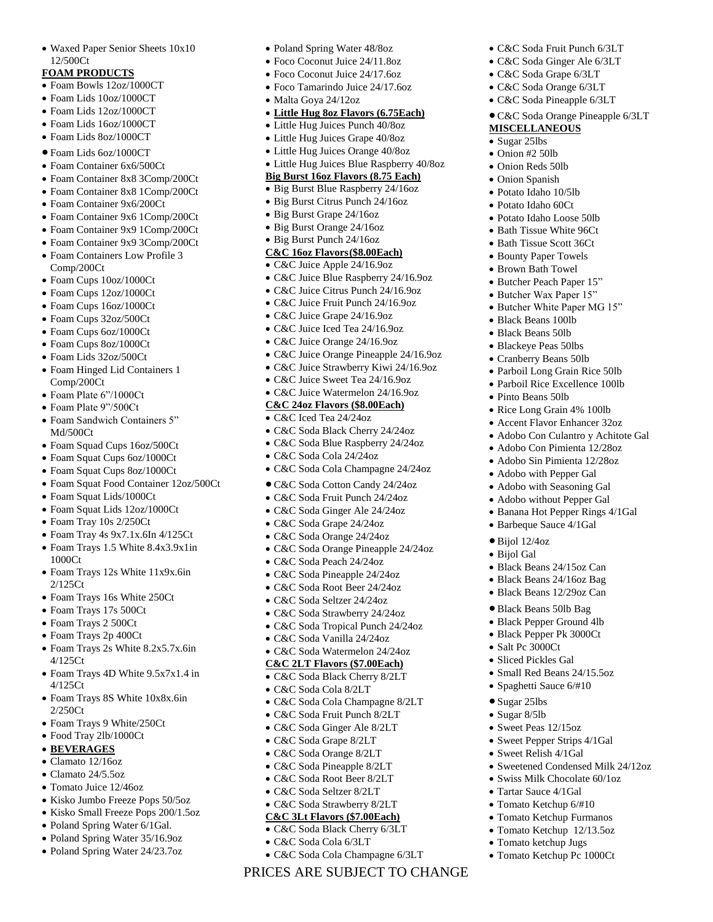Waxed Paper Senior Sheets 10x10 12/500Ct

## **FOAM PRODUCTS**

- Foam Bowls 12oz/1000CT
- Foam Lids 10oz/1000CT
- Foam Lids 12oz/1000CT
- Foam Lids 16oz/1000CT
- Foam Lids 8oz/1000CT
- $\bullet$  Foam Lids 6oz/1000CT
- Foam Container 6x6/500Ct
- Foam Container 8x8 3Comp/200Ct
- Foam Container 8x8 1Comp/200Ct
- Foam Container 9x6/200Ct
- Foam Container 9x6 1Comp/200Ct
- Foam Container 9x9 1Comp/200Ct
- Foam Container 9x9 3Comp/200Ct
- Foam Containers Low Profile 3 Comp/200Ct
- Foam Cups 10oz/1000Ct
- Foam Cups 12oz/1000Ct
- Foam Cups 16oz/1000Ct
- Foam Cups 32oz/500Ct
- Foam Cups 6oz/1000Ct
- Foam Cups 8oz/1000Ct
- Foam Lids 32oz/500Ct
- Foam Hinged Lid Containers 1 Comp/200Ct
- Foam Plate 6"/1000Ct
- Foam Plate 9"/500Ct
- Foam Sandwich Containers 5" Md/500Ct
- Foam Squad Cups 16oz/500Ct
- Foam Squat Cups 6oz/1000Ct
- Foam Squat Cups 8oz/1000Ct
- Foam Squat Food Container 12oz/500Ct
- Foam Squat Lids/1000Ct
- Foam Squat Lids 12oz/1000Ct
- Foam Tray 10s 2/250Ct
- Foam Tray 4s 9x7.1x.6In 4/125Ct
- Foam Trays 1.5 White 8.4x3.9x1in 1000Ct
- Foam Trays 12s White 11x9x.6in 2/125Ct
- Foam Trays 16s White 250Ct
- Foam Trays 17s 500Ct
- Foam Trays 2 500Ct
- Foam Trays 2p 400Ct
- Foam Trays 2s White 8.2x5.7x.6in 4/125Ct
- Foam Trays 4D White 9.5x7x1.4 in 4/125Ct
- Foam Trays 8S White 10x8x.6in 2/250Ct
- Foam Trays 9 White/250Ct
- Food Tray 2lb/1000Ct
- **BEVERAGES**
- Clamato 12/16oz
- Clamato 24/5.5oz
- Tomato Juice 12/46oz
- Kisko Jumbo Freeze Pops 50/5oz
- Kisko Small Freeze Pops 200/1.5oz
- Poland Spring Water 6/1Gal.
- Poland Spring Water 35/16.9oz
- Poland Spring Water 24/23.7oz
- Poland Spring Water 48/8oz
- Foco Coconut Juice 24/11.8oz
- Foco Coconut Juice 24/17.6oz
- Foco Tamarindo Juice 24/17.6oz
- Malta Goya 24/12oz
- **Little Hug 8oz Flavors (6.75Each)**
- Little Hug Juices Punch 40/8oz
- Little Hug Juices Grape 40/8oz
- Little Hug Juices Orange 40/8oz
- Little Hug Juices Blue Raspberry 40/8oz

 C&C Soda Fruit Punch 6/3LT C&C Soda Ginger Ale 6/3LT C&C Soda Grape 6/3LT C&C Soda Orange 6/3LT C&C Soda Pineapple 6/3LT

**MISCELLANEOUS** • Sugar 25lbs Onion #2 50lb Onion Reds 50lb Onion Spanish Potato Idaho 10/5lb Potato Idaho 60Ct Potato Idaho Loose 50lb • Bath Tissue White 96Ct • Bath Tissue Scott 36Ct Bounty Paper Towels Brown Bath Towel Butcher Peach Paper 15" Butcher Wax Paper 15" • Butcher White Paper MG 15"

 Black Beans 100lb Black Beans 50lb Blackeye Peas 50lbs Cranberry Beans 50lb Parboil Long Grain Rice 50lb Parboil Rice Excellence 100lb

• Pinto Beans 50lb

• Rice Long Grain 4% 100lb Accent Flavor Enhancer 32oz Adobo Con Culantro y Achitote Gal Adobo Con Pimienta 12/28oz Adobo Sin Pimienta 12/28oz Adobo with Pepper Gal Adobo with Seasoning Gal Adobo without Pepper Gal Banana Hot Pepper Rings 4/1Gal

Barbeque Sauce 4/1Gal

 Black Beans 24/15oz Can • Black Beans 24/16oz Bag Black Beans 12/29oz Can Black Beans 50lb Bag Black Pepper Ground 4lb Black Pepper Pk 3000Ct

 Small Red Beans 24/15.5oz Spaghetti Sauce 6/#10

• Sweetened Condensed Milk 24/12oz • Swiss Milk Chocolate 60/1oz

 Bijol 12/4oz Bijol Gal

 Salt Pc 3000Ct Sliced Pickles Gal

 Sugar 25lbs Sugar 8/5lb • Sweet Peas 12/15oz • Sweet Pepper Strips 4/1Gal • Sweet Relish 4/1Gal

 Tartar Sauce 4/1Gal Tomato Ketchup 6/#10 Tomato Ketchup Furmanos Tomato Ketchup 12/13.5oz Tomato ketchup Jugs Tomato Ketchup Pc 1000Ct

C&C Soda Orange Pineapple 6/3LT

- **Big Burst 16oz Flavors (8.75 Each)**
- Big Burst Blue Raspberry 24/16oz
- Big Burst Citrus Punch 24/16oz
- Big Burst Grape 24/16oz
- Big Burst Orange 24/16oz
- Big Burst Punch 24/16oz

# **C&C 16oz Flavors(\$8.00Each)**

- C&C Juice Apple 24/16.9oz
- C&C Juice Blue Raspberry 24/16.9oz
- C&C Juice Citrus Punch 24/16.9oz
- C&C Juice Fruit Punch 24/16.9oz
- C&C Juice Grape 24/16.9oz
- C&C Juice Iced Tea 24/16.9oz
- C&C Juice Orange 24/16.9oz
- C&C Juice Orange Pineapple 24/16.9oz
- C&C Juice Strawberry Kiwi 24/16.9oz
- C&C Juice Sweet Tea 24/16.9oz
- C&C Juice Watermelon 24/16.9oz
- **C&C 24oz Flavors (\$8.00Each)**

## C&C Iced Tea 24/24oz

- C&C Soda Black Cherry 24/24oz
- C&C Soda Blue Raspberry 24/24oz
- C&C Soda Cola 24/24oz
- C&C Soda Cola Champagne 24/24oz
- C&C Soda Cotton Candy 24/24oz
- C&C Soda Fruit Punch 24/24oz
- C&C Soda Ginger Ale 24/24oz
- C&C Soda Grape 24/24oz
- C&C Soda Orange 24/24oz
- C&C Soda Orange Pineapple 24/24oz

PRICES ARE SUBJECT TO CHANGE

C&C Soda Cola Champagne 6/3LT

- C&C Soda Peach 24/24oz
- C&C Soda Pineapple 24/24oz
- C&C Soda Root Beer 24/24oz
- C&C Soda Seltzer 24/24oz
- C&C Soda Strawberry 24/24oz

 C&C Soda Tropical Punch 24/24oz C&C Soda Vanilla 24/24oz C&C Soda Watermelon 24/24oz **C&C 2LT Flavors (\$7.00Each)** C&C Soda Black Cherry 8/2LT C&C Soda Cola 8/2LT

 C&C Soda Cola Champagne 8/2LT C&C Soda Fruit Punch 8/2LT C&C Soda Ginger Ale 8/2LT C&C Soda Grape 8/2LT C&C Soda Orange 8/2LT C&C Soda Pineapple 8/2LT C&C Soda Root Beer 8/2LT C&C Soda Seltzer 8/2LT C&C Soda Strawberry 8/2LT **C&C 3Lt Flavors (\$7.00Each)** C&C Soda Black Cherry 6/3LT C&C Soda Cola 6/3LT